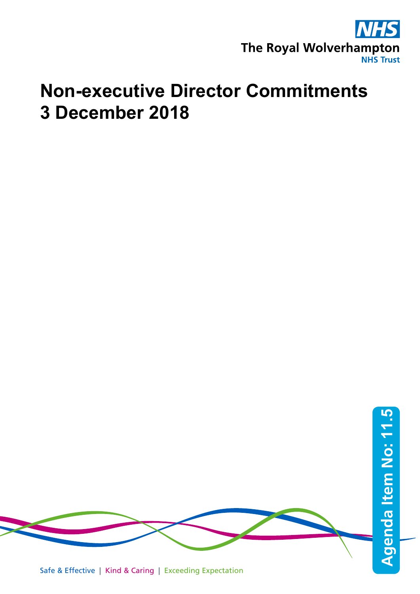

## **Non-executive Director Commitments 3 December 2018**

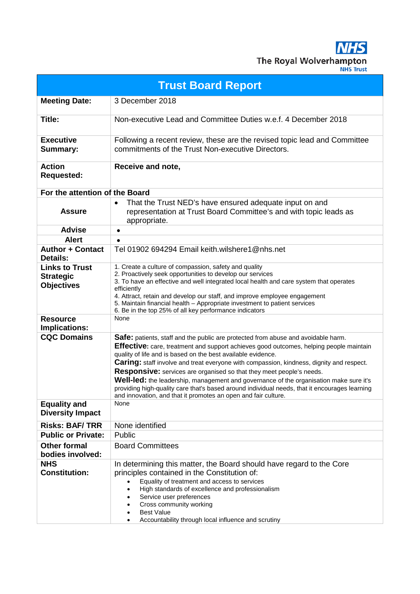The Royal Wolverhampton **NHS Trust** 

**Trust Board Report Meeting Date:** 3 December 2018 **Title:** Non-executive Lead and Committee Duties w.e.f. 4 December 2018 **Executive Summary:** Following a recent review, these are the revised topic lead and Committee commitments of the Trust Non-executive Directors. **Action Requested: Receive and note, For the attention of the Board Assure** • That the Trust NED's have ensured adequate input on and representation at Trust Board Committee's and with topic leads as appropriate. **Advise** • **Alert** • **Author + Contact Details:** Tel 01902 694294 Email keith.wilshere1@nhs.net **Links to Trust Strategic Objectives** 1. Create a culture of compassion, safety and quality 2. Proactively seek opportunities to develop our services 3. To have an effective and well integrated local health and care system that operates efficiently 4. Attract, retain and develop our staff, and improve employee engagement 5. Maintain financial health – Appropriate investment to patient services 6. Be in the top 25% of all key performance indicators **Resource Implications:** None **Safe:** patients, staff and the public are protected from abuse and avoidable harm. **Effective:** care, treatment and support achieves good outcomes, helping people maintain quality of life and is based on the best available evidence. **Caring:** staff involve and treat everyone with compassion, kindness, dignity and respect. **Responsive:** services are organised so that they meet people's needs. **Well-led:** the leadership, management and governance of the organisation make sure it's providing high-quality care that's based around individual needs, that it encourages learning and innovation, and that it promotes an open and fair culture. **Equality and Diversity Impact** None **Risks: BAF/ TRR** None identified **Public or Private:** Public **Other formal bodies involved:** Board Committees **NHS Constitution:** In determining this matter, the Board should have regard to the Core principles contained in the Constitution of: • Equality of treatment and access to services • High standards of excellence and professionalism Service user preferences Cross community working **Best Value** • Accountability through local influence and scrutiny